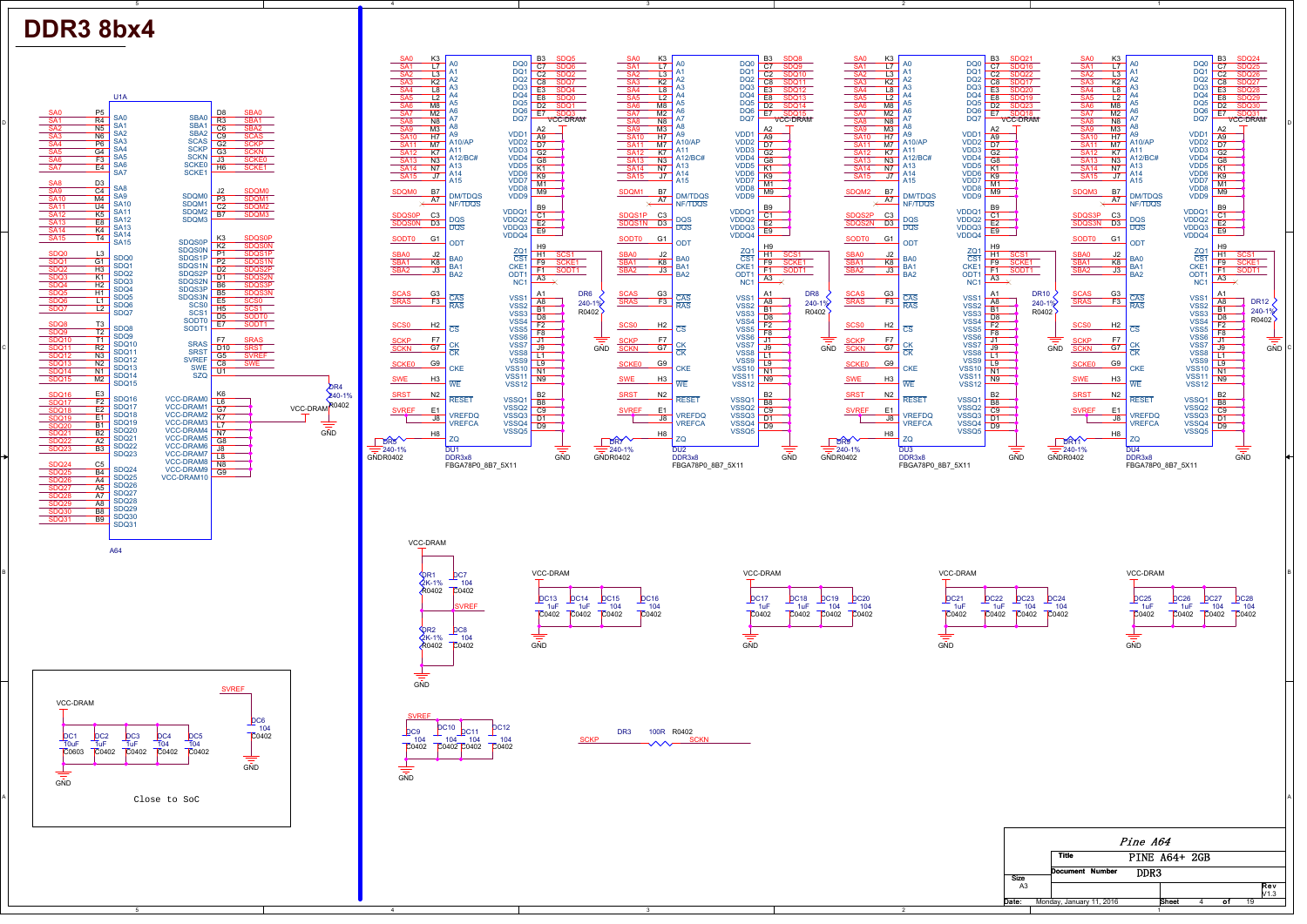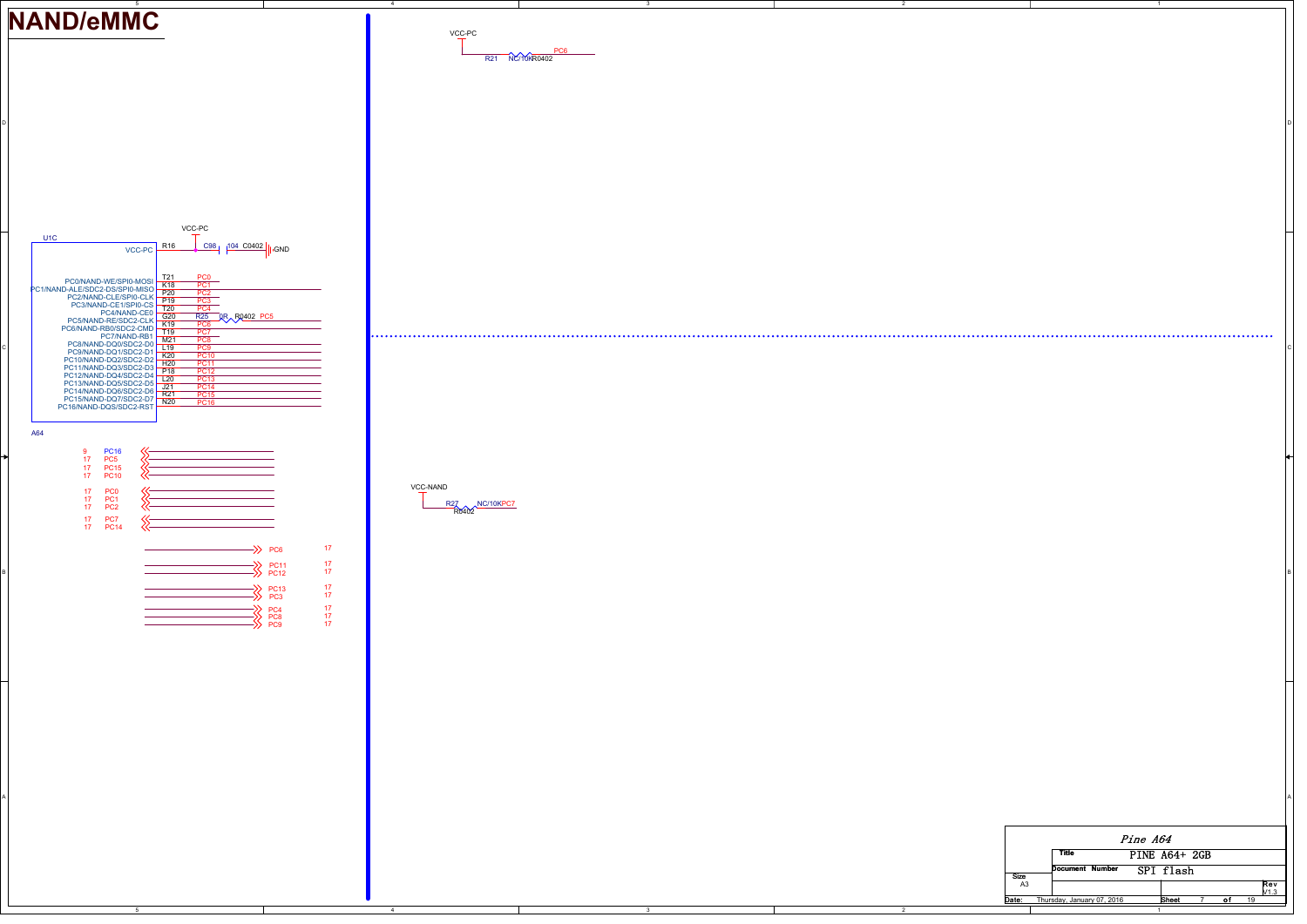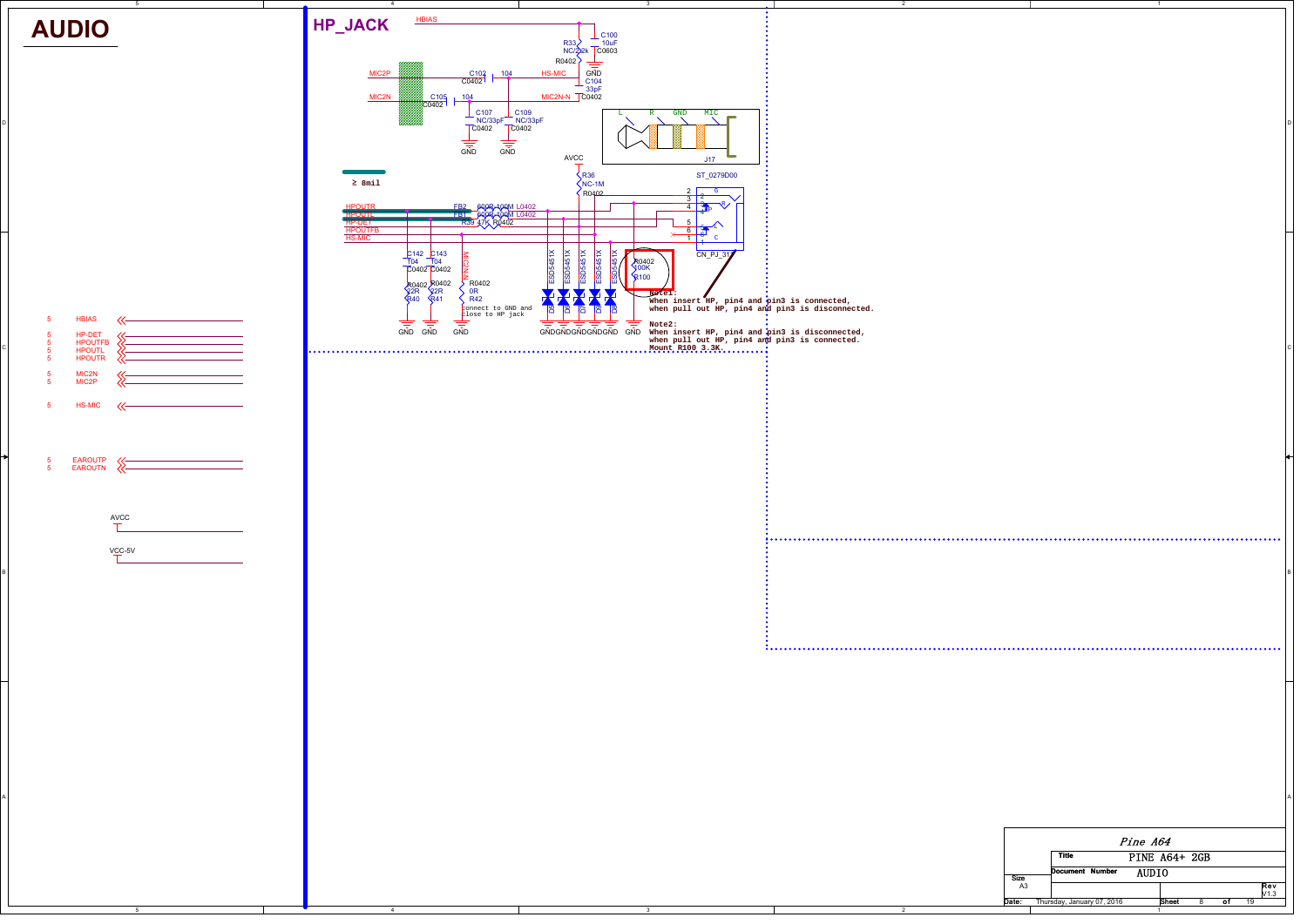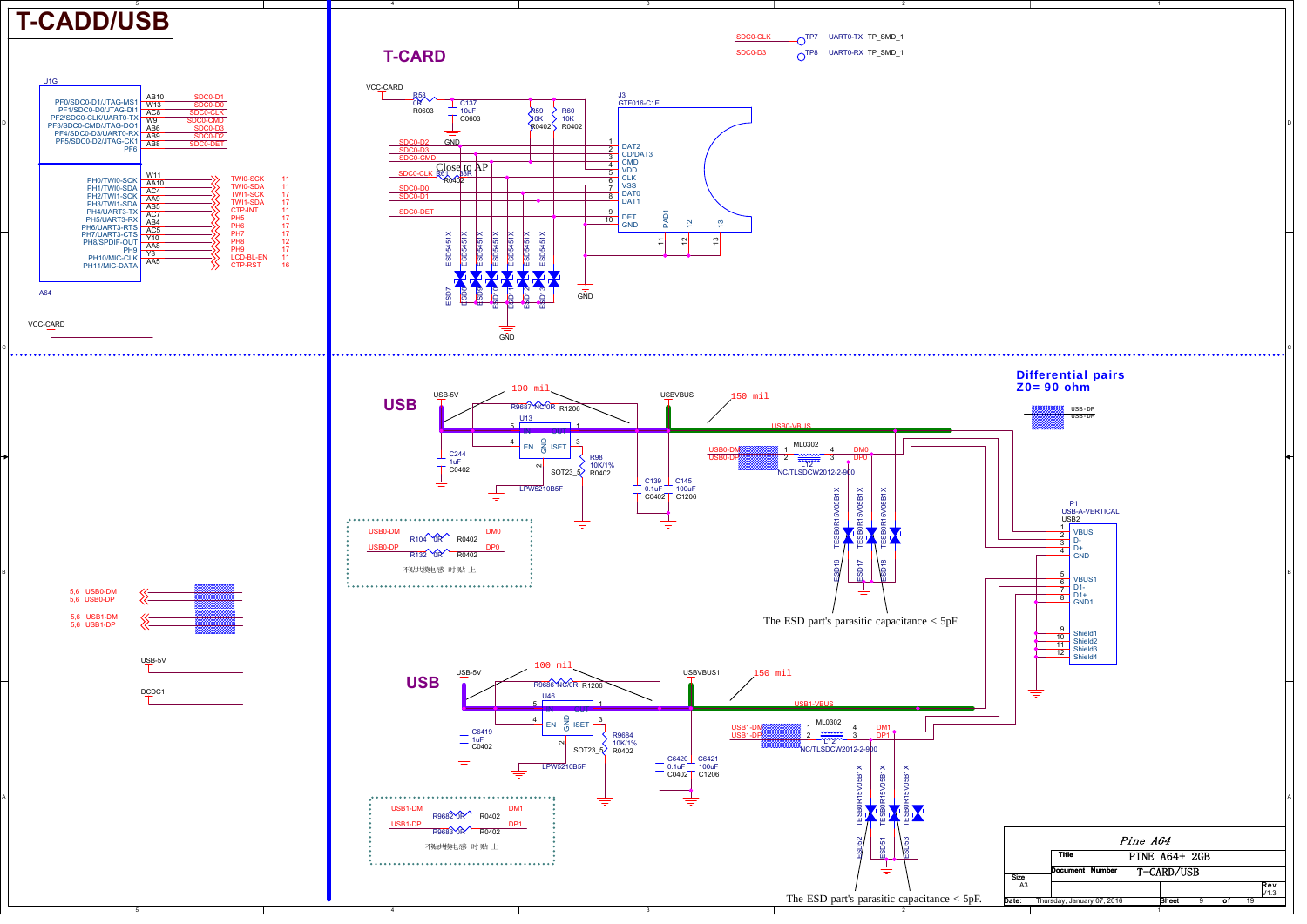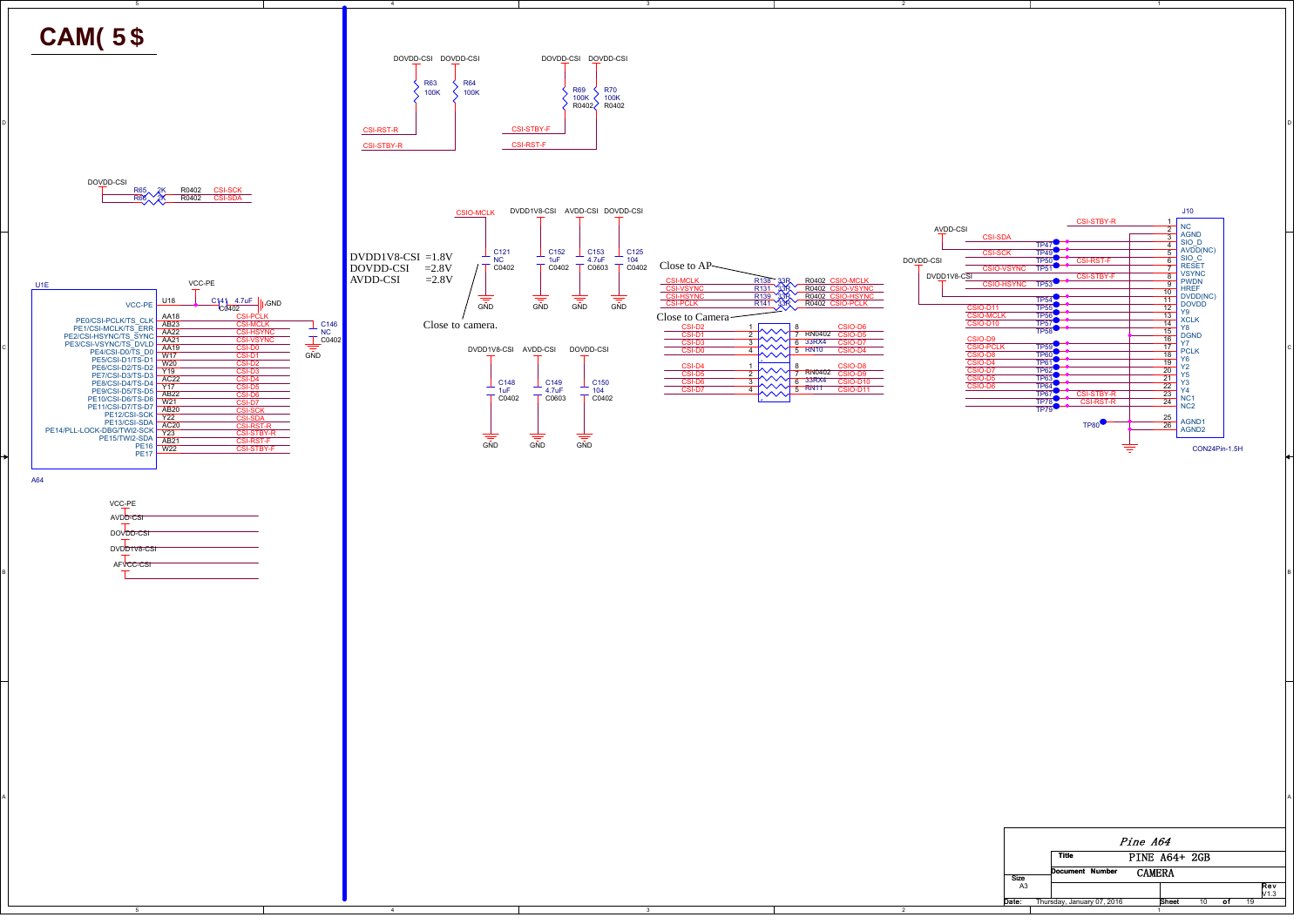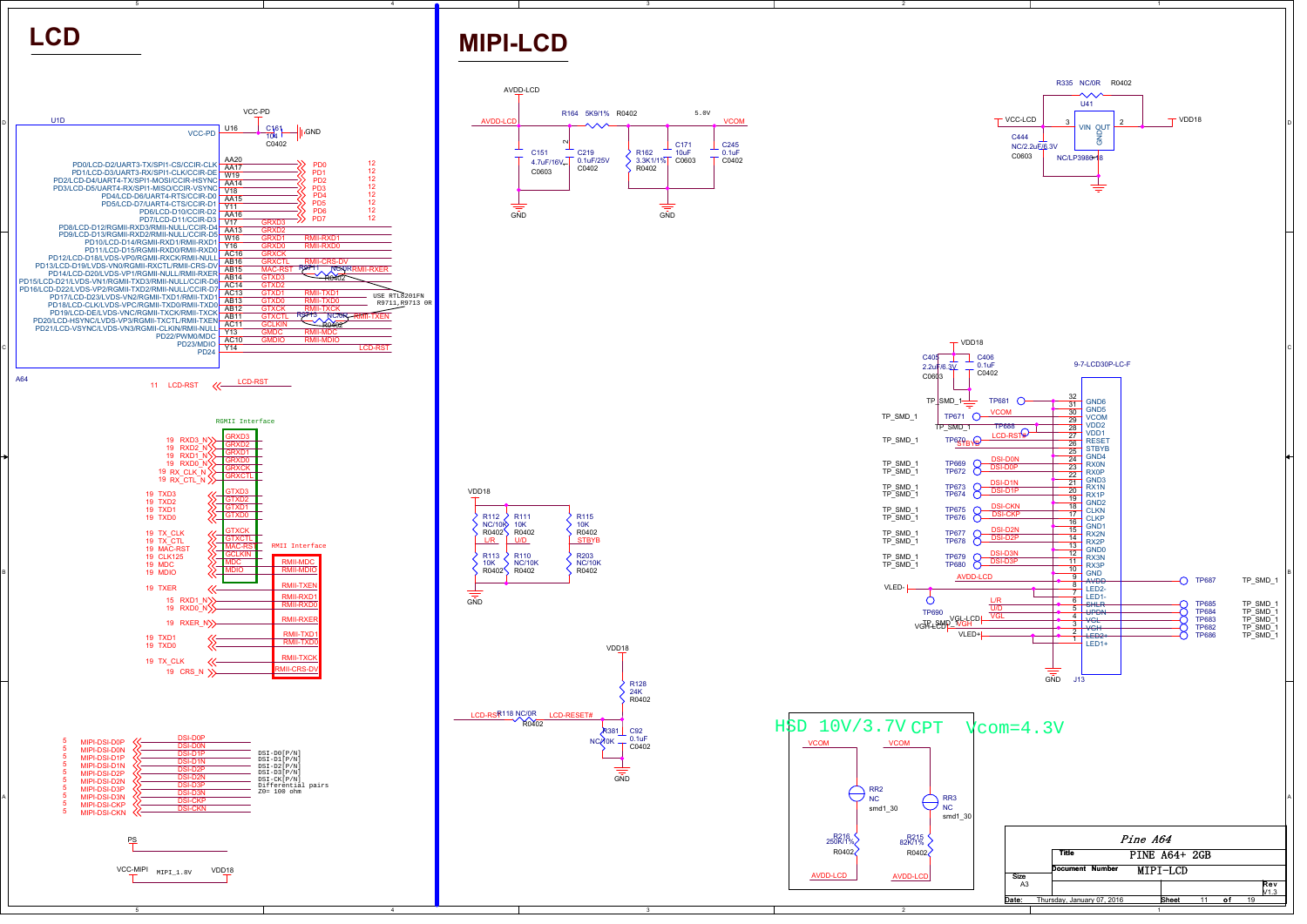



4

## **MIPI-LCD**

LCD-RSR<sup>118</sup> NC/0R<br>R0402

 $\overline{a}$ 

R381 NC/10K

VDD18

R12824K R0402

C92 0.1uF C0402

R U/D (STBYB

R110NC/10K R0402

**D111**  10KR0402 R115 10KR0402

R203NC/10K R0402

L/R

 $R113$ 10K R0402

 $\sum_{1}^{1}$  $NC/10K$ R0402

VDD18

 $\frac{1}{\sin \theta}$ 





2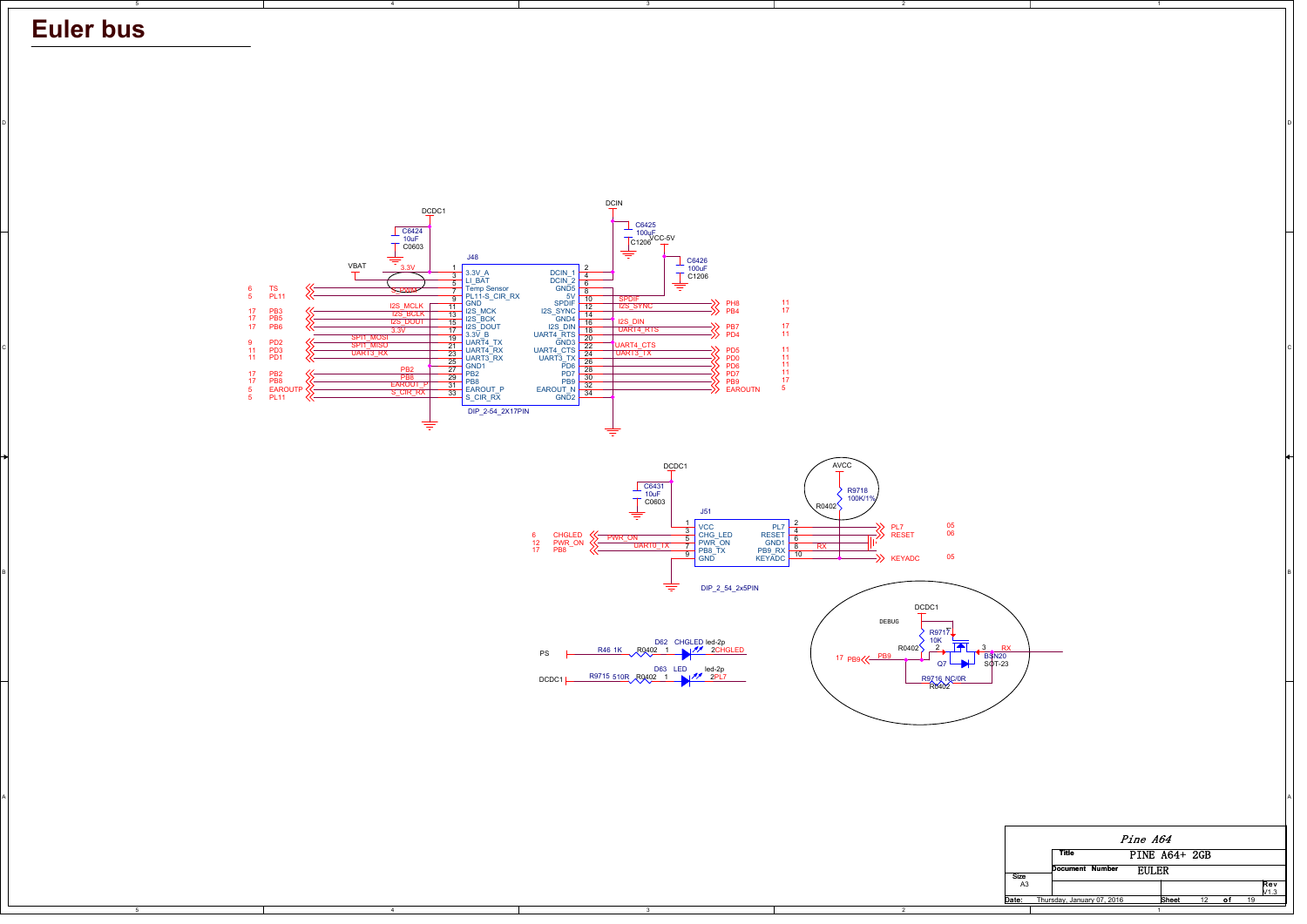## **Euler bus**

B

A



A

D

2

4

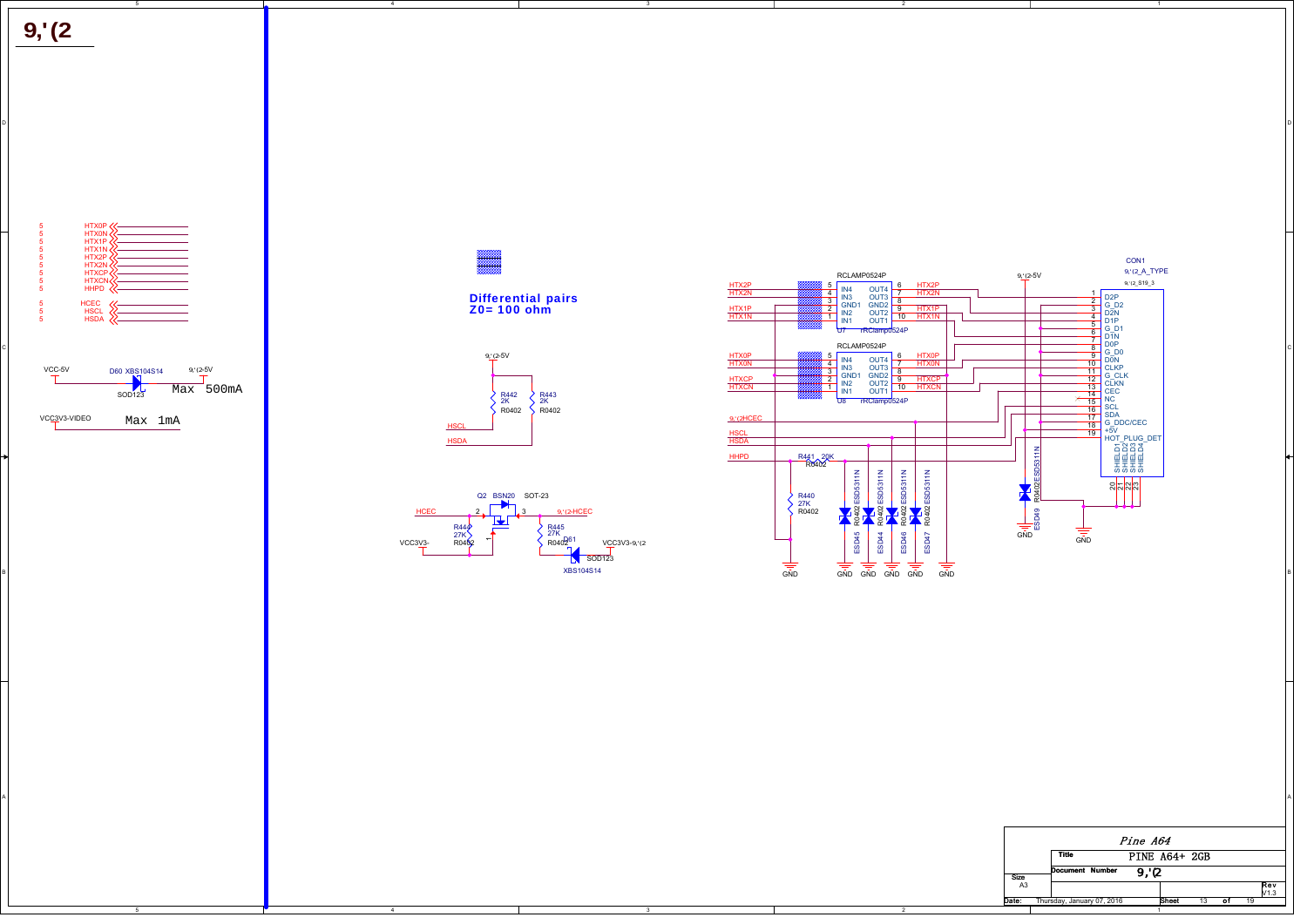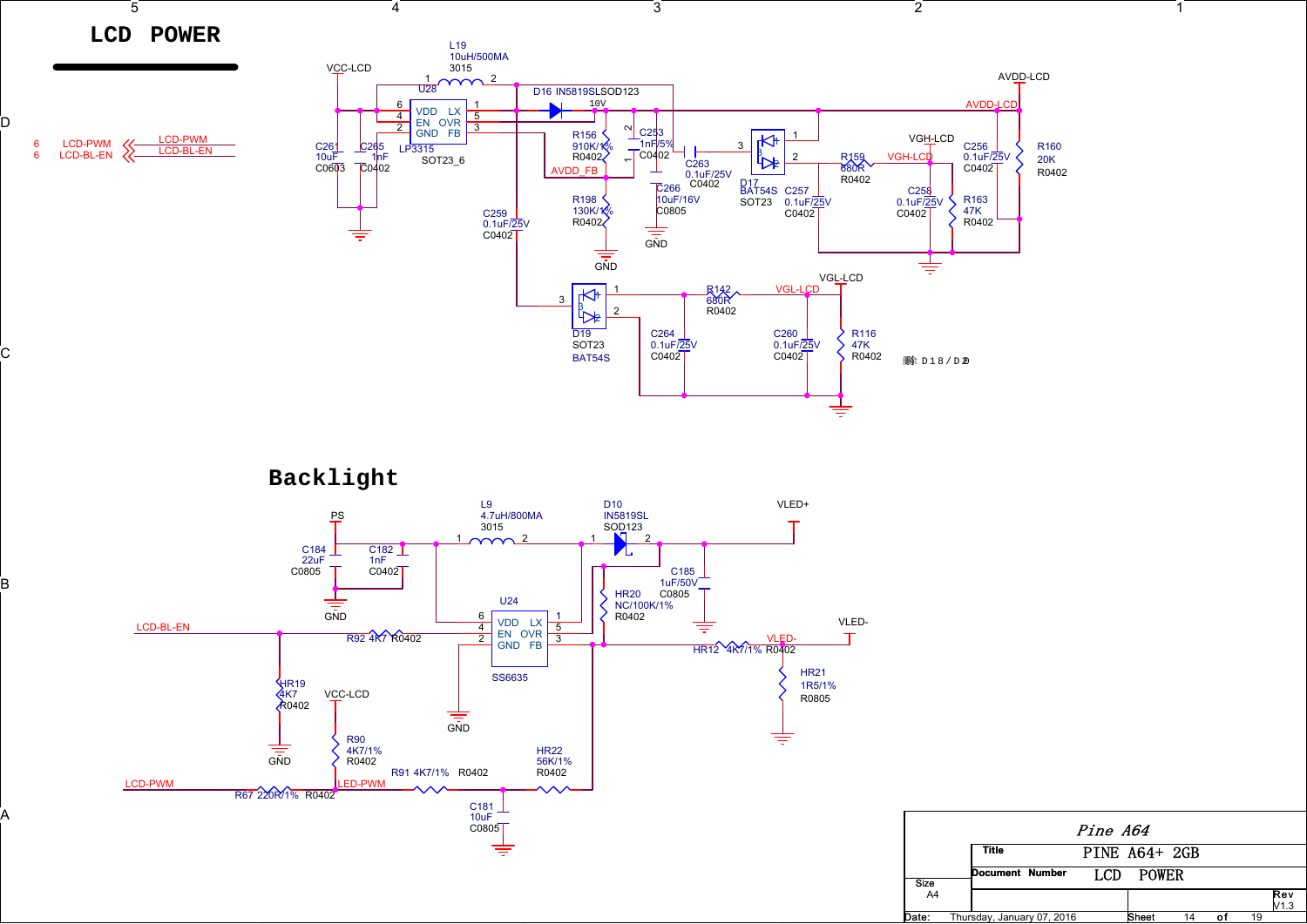



D

C

B

A







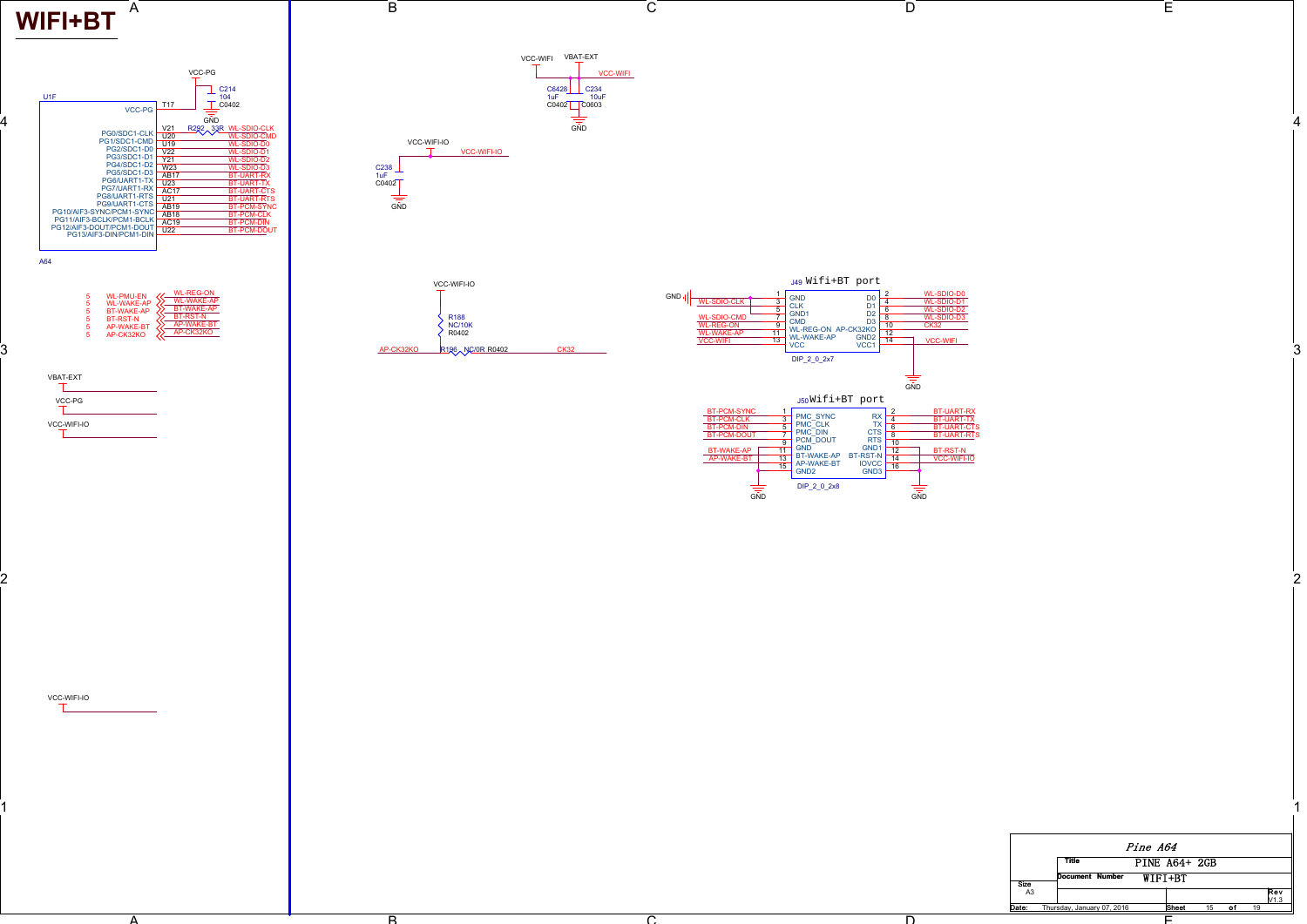## **WIFI+BT**

4

3

2

1

VCC-WIFI-IO



A





A



C

B

 $\overline{\mathbf{p}}$ 





D

ัก

| Pine A64       |                            |                 |  |  |                      |    |   |    |                         |
|----------------|----------------------------|-----------------|--|--|----------------------|----|---|----|-------------------------|
|                |                            | <b>Title</b>    |  |  | <b>PINE A64+ 2GB</b> |    |   |    |                         |
| <b>Size</b>    |                            | Document Number |  |  | WIFI+BT              |    |   |    |                         |
| A <sub>3</sub> |                            |                 |  |  |                      |    |   |    | Rev<br>V <sub>1.3</sub> |
| Date:          | Thursdav, January 07, 2016 |                 |  |  | <b>Sheet</b>         | 15 | o | 19 |                         |

E

E

 $\overline{\cap}$ 

е произведения в произведении и произведения в совмести с произведения и произведения и произведения и произве<br>Получительно принятия и произведения и произведения и произведения и произведения и произведения и произведени

2 and  $\overline{a}$  and  $\overline{a}$  and  $\overline{a}$  and  $\overline{a}$  and  $\overline{a}$  and  $\overline{a}$  and  $\overline{a}$  and  $\overline{a}$  and  $\overline{a}$  and  $\overline{a}$  and  $\overline{a}$  and  $\overline{a}$  and  $\overline{a}$  and  $\overline{a}$  and  $\overline{a}$  and  $\overline{a}$  and  $\overline{a}$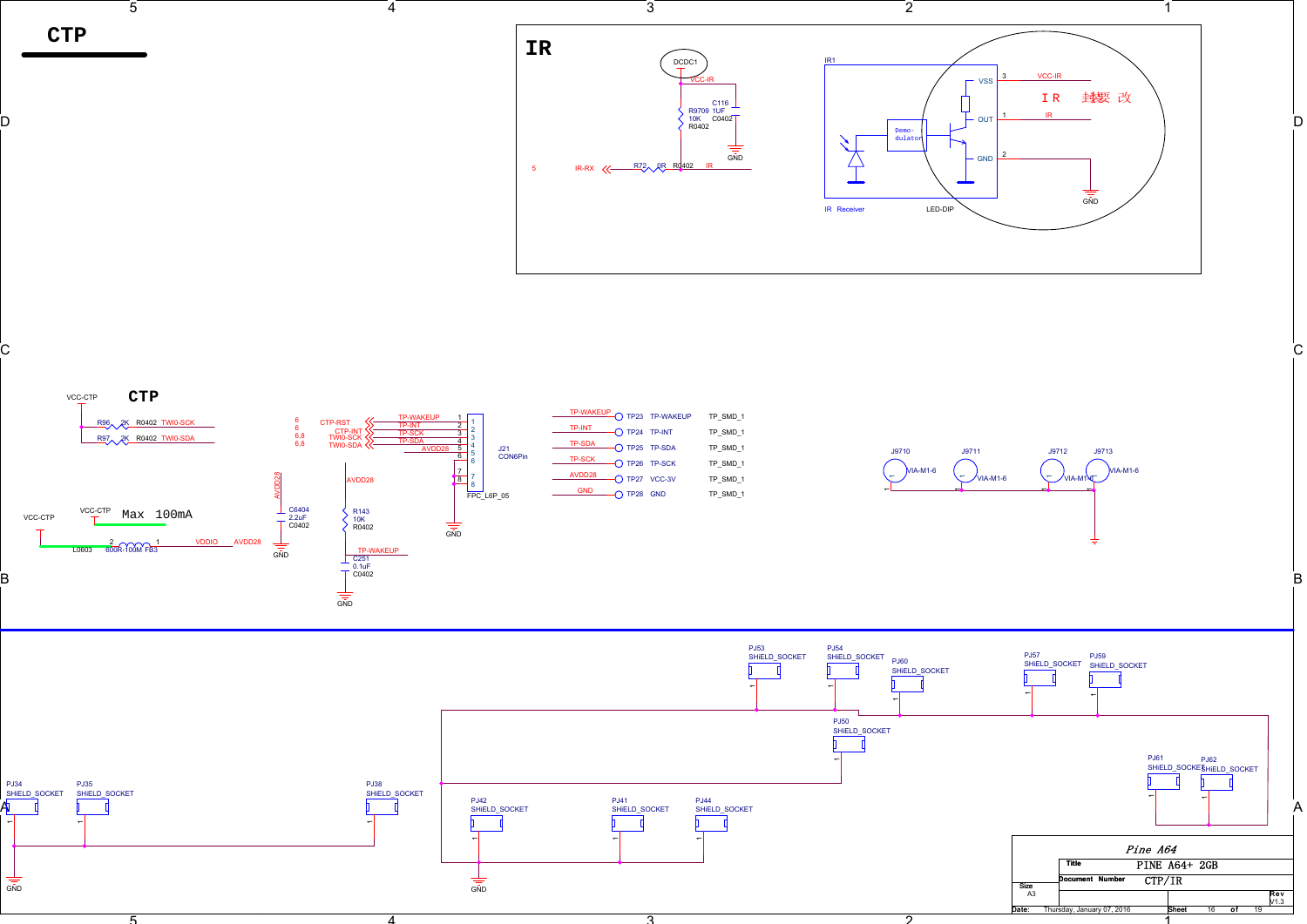

D



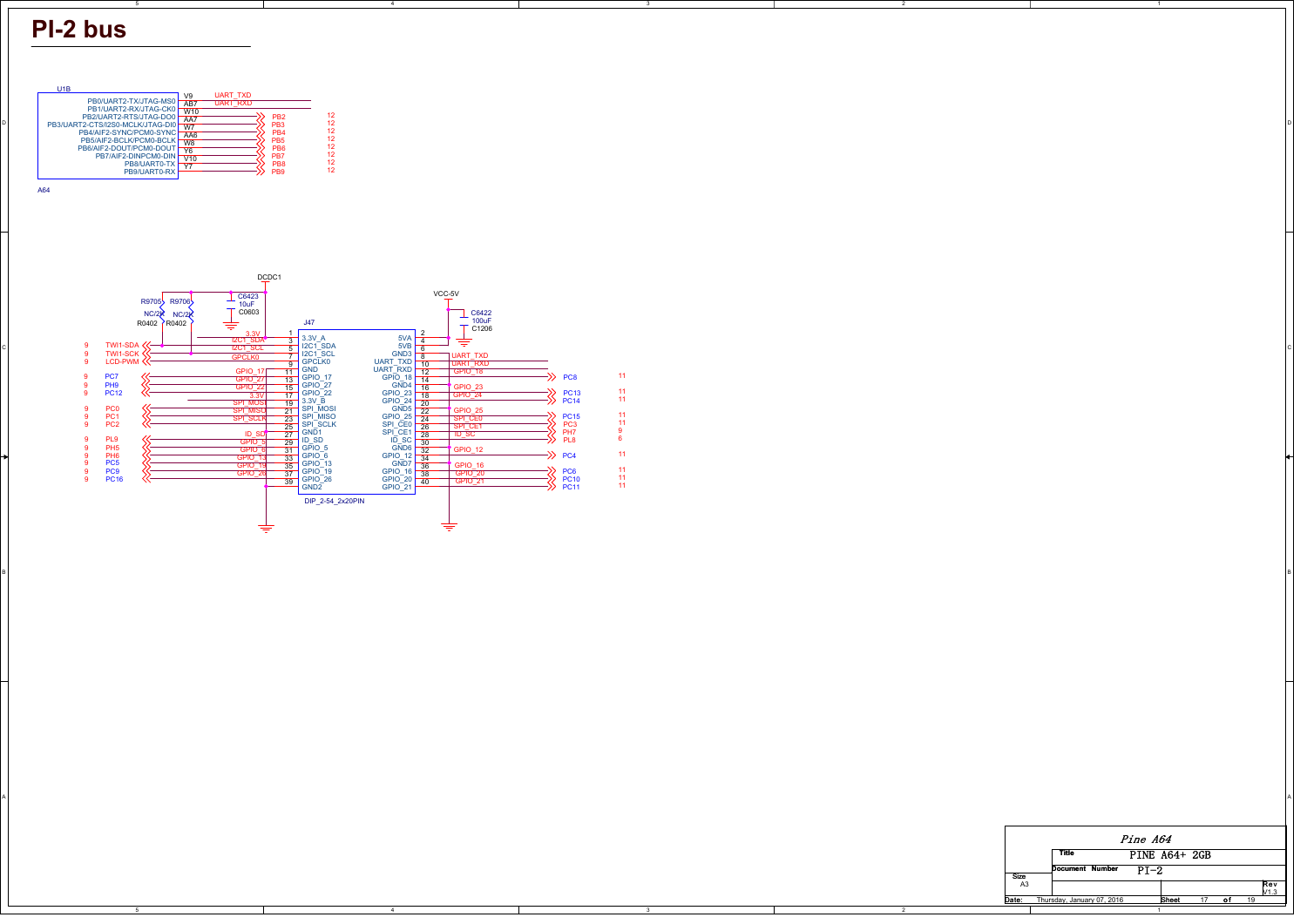## **PI-2 bus**

B

A





4

BI<br>BI

A



2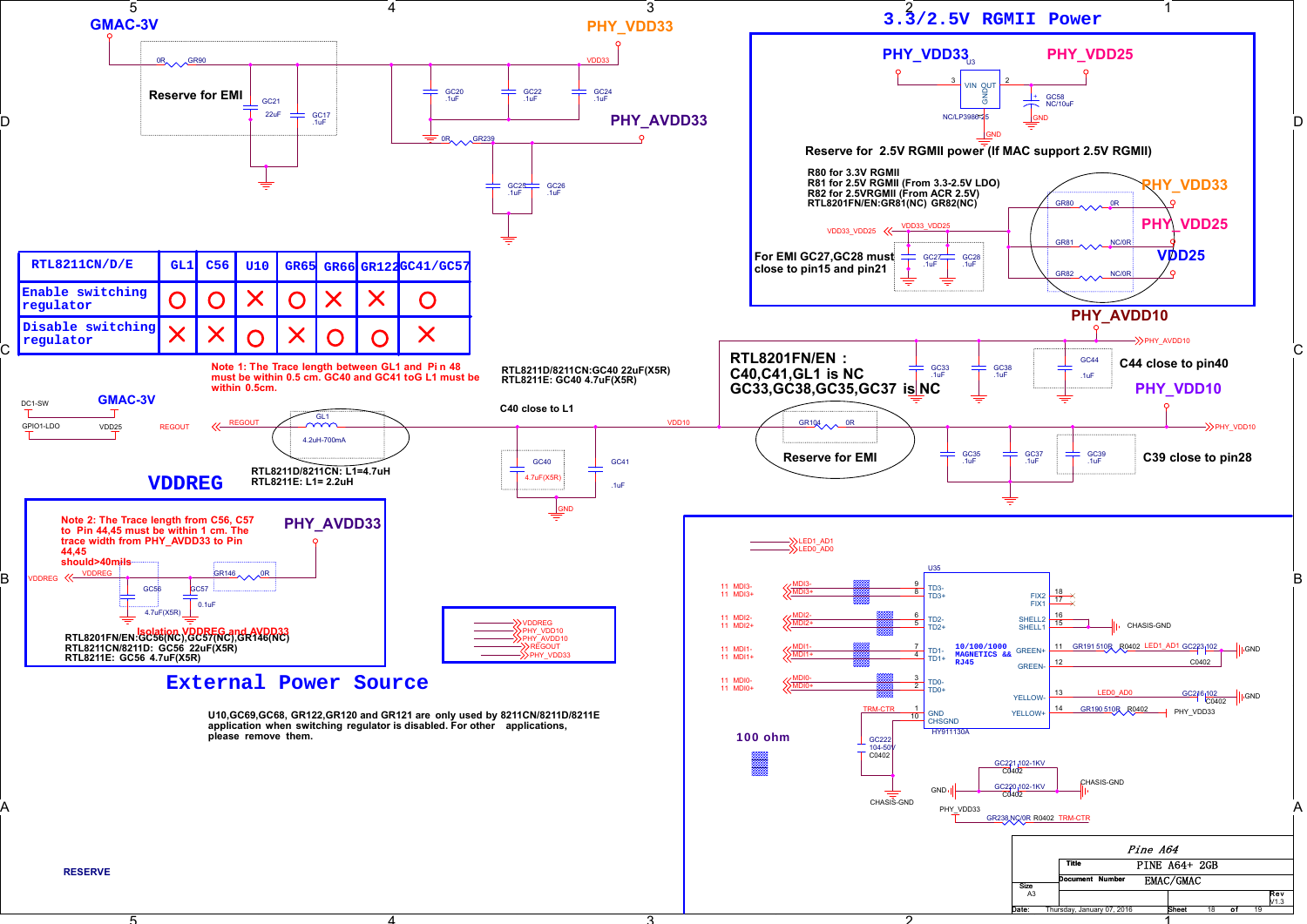